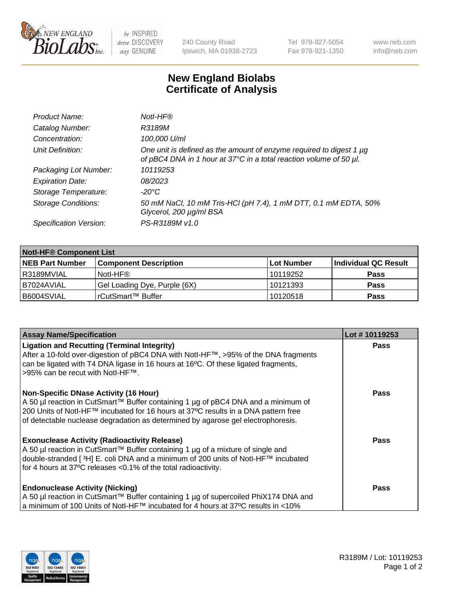

be INSPIRED drive DISCOVERY stay GENUINE

240 County Road Ipswich, MA 01938-2723 Tel 978-927-5054 Fax 978-921-1350 www.neb.com info@neb.com

## **New England Biolabs Certificate of Analysis**

| Product Name:              | Notl-HF®                                                                                                                                  |
|----------------------------|-------------------------------------------------------------------------------------------------------------------------------------------|
| Catalog Number:            | R3189M                                                                                                                                    |
| Concentration:             | 100,000 U/ml                                                                                                                              |
| Unit Definition:           | One unit is defined as the amount of enzyme required to digest 1 µg<br>of pBC4 DNA in 1 hour at 37°C in a total reaction volume of 50 µl. |
| Packaging Lot Number:      | 10119253                                                                                                                                  |
| <b>Expiration Date:</b>    | 08/2023                                                                                                                                   |
| Storage Temperature:       | -20°C                                                                                                                                     |
| <b>Storage Conditions:</b> | 50 mM NaCl, 10 mM Tris-HCl (pH 7.4), 1 mM DTT, 0.1 mM EDTA, 50%<br>Glycerol, 200 µg/ml BSA                                                |
| Specification Version:     | PS-R3189M v1.0                                                                                                                            |

| <b>Notl-HF® Component List</b> |                              |            |                      |  |  |
|--------------------------------|------------------------------|------------|----------------------|--|--|
| <b>NEB Part Number</b>         | <b>Component Description</b> | Lot Number | Individual QC Result |  |  |
| I R3189MVIAL                   | Notl-HF®                     | 10119252   | <b>Pass</b>          |  |  |
| I B7024AVIAL                   | Gel Loading Dye, Purple (6X) | 10121393   | <b>Pass</b>          |  |  |
| IB6004SVIAL                    | rCutSmart™ Buffer            | 10120518   | <b>Pass</b>          |  |  |

| <b>Assay Name/Specification</b>                                                                                                                                        | Lot #10119253 |
|------------------------------------------------------------------------------------------------------------------------------------------------------------------------|---------------|
| <b>Ligation and Recutting (Terminal Integrity)</b><br>After a 10-fold over-digestion of pBC4 DNA with NotI-HF™, >95% of the DNA fragments                              | <b>Pass</b>   |
| can be ligated with T4 DNA ligase in 16 hours at 16°C. Of these ligated fragments,<br>>95% can be recut with Notl-HF™.                                                 |               |
| <b>Non-Specific DNase Activity (16 Hour)</b>                                                                                                                           | Pass          |
| A 50 µl reaction in CutSmart™ Buffer containing 1 µg of pBC4 DNA and a minimum of                                                                                      |               |
| 200 Units of Notl-HF™ incubated for 16 hours at 37°C results in a DNA pattern free<br>of detectable nuclease degradation as determined by agarose gel electrophoresis. |               |
|                                                                                                                                                                        |               |
| <b>Exonuclease Activity (Radioactivity Release)</b>                                                                                                                    | Pass          |
| A 50 µl reaction in CutSmart™ Buffer containing 1 µg of a mixture of single and                                                                                        |               |
| double-stranded [3H] E. coli DNA and a minimum of 200 units of Notl-HF™ incubated                                                                                      |               |
| for 4 hours at 37°C releases < 0.1% of the total radioactivity.                                                                                                        |               |
| <b>Endonuclease Activity (Nicking)</b>                                                                                                                                 | Pass          |
| A 50 µl reaction in CutSmart™ Buffer containing 1 µg of supercoiled PhiX174 DNA and                                                                                    |               |
| a minimum of 100 Units of Notl-HF™ incubated for 4 hours at 37°C results in <10%                                                                                       |               |